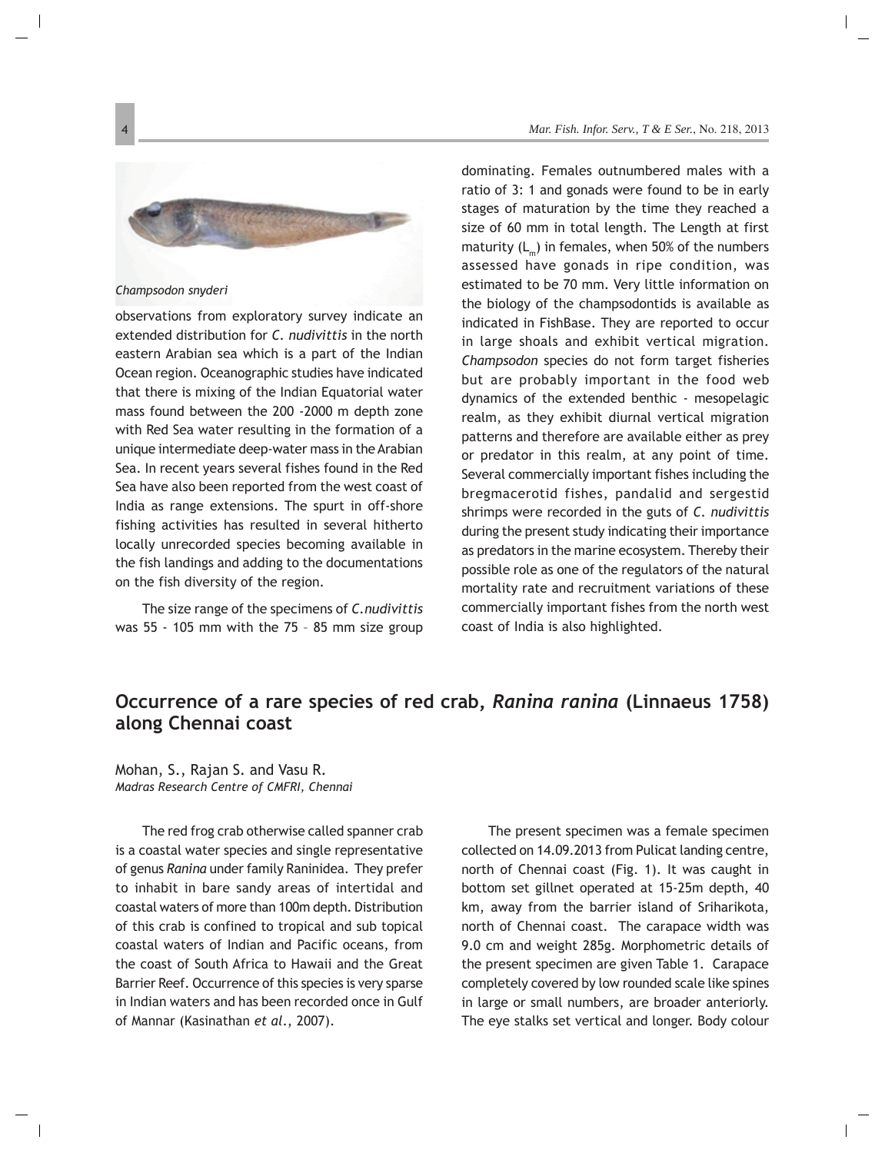## **Occurrence of a rare species of red crab,** *Ranina ranina* **(Linnaeus 1758) along Chennai coast**

Mohan, S., Rajan S. and Vasu R. *Madras Research Centre of CMFRI, Chennai*

The red frog crab otherwise called spanner crab is a coastal water species and single representative of genus *Ranina* under family Raninidea. They prefer to inhabit in bare sandy areas of intertidal and coastal waters of more than 100m depth. Distribution of this crab is confined to tropical and sub topical coastal waters of Indian and Pacific oceans, from the coast of South Africa to Hawaii and the Great Barrier Reef. Occurrence of this species is very sparse in Indian waters and has been recorded once in Gulf of Mannar (Kasinathan *et al*., 2007).

The present specimen was a female specimen collected on 14.09.2013 from Pulicat landing centre, north of Chennai coast (Fig. 1). It was caught in bottom set gillnet operated at 15-25m depth, 40 km, away from the barrier island of Sriharikota, north of Chennai coast. The carapace width was 9.0 cm and weight 285g. Morphometric details of the present specimen are given Table 1. Carapace completely covered by low rounded scale like spines in large or small numbers, are broader anteriorly. The eye stalks set vertical and longer. Body colour